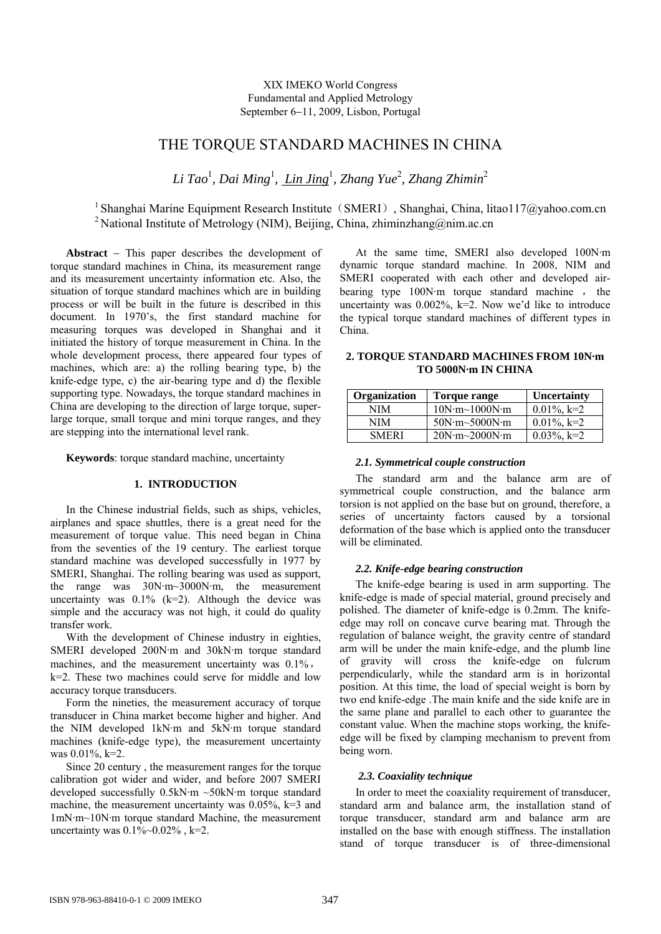# THE TORQUE STANDARD MACHINES IN CHINA

*Li Tao*<sup>1</sup> *, Dai Ming*<sup>1</sup> *, Lin Jing*<sup>1</sup> *, Zhang Yue*<sup>2</sup> *, Zhang Zhimin*<sup>2</sup>

<sup>1</sup> Shanghai Marine Equipment Research Institute (SMERI), Shanghai, China, [litao117@yahoo.com.cn](mailto:litao117@yahoo.com.cn) <sup>2</sup> National Institute of Metrology (NIM), Beijing, China, [zhiminzhang@nim.ac.cn](mailto:zhiminzhang@nim.ac.cn)

**Abstract** − This paper describes the development of torque standard machines in China, its measurement range and its measurement uncertainty information etc. Also, the situation of torque standard machines which are in building process or will be built in the future is described in this document. In 1970's, the first standard machine for measuring torques was developed in Shanghai and it initiated the history of torque measurement in China. In the whole development process, there appeared four types of machines, which are: a) the rolling bearing type, b) the knife-edge type, c) the air-bearing type and d) the flexible supporting type. Nowadays, the torque standard machines in China are developing to the direction of large torque, superlarge torque, small torque and mini torque ranges, and they are stepping into the international level rank.

**Keywords**: torque standard machine, uncertainty

# **1. INTRODUCTION**

In the Chinese industrial fields, such as ships, vehicles, airplanes and space shuttles, there is a great need for the measurement of torque value. This need began in China from the seventies of the 19 century. The earliest torque standard machine was developed successfully in 1977 by SMERI, Shanghai. The rolling bearing was used as support, the range was 30N·m~3000N·m, the measurement uncertainty was  $0.1\%$  (k=2). Although the device was simple and the accuracy was not high, it could do quality transfer work.

With the development of Chinese industry in eighties, SMERI developed 200N·m and 30kN·m torque standard machines, and the measurement uncertainty was 0.1%, k=2. These two machines could serve for middle and low

accuracy torque transducers. Form the nineties, the measurement accuracy of torque transducer in China market become higher and higher. And the NIM developed 1kN·m and 5kN·m torque standard machines (knife-edge type), the measurement uncertainty was 0.01%, k=2.

Since 20 century , the measurement ranges for the torque calibration got wider and wider, and before 2007 SMERI developed successfully 0.5kN·m ~50kN·m torque standard machine, the measurement uncertainty was  $0.05\%$ , k=3 and 1mN·m~10N·m torque standard Machine, the measurement uncertainty was  $0.1\%$  ~  $0.02\%$ , k=2.

At the same time, SMERI also developed 100N·m dynamic torque standard machine. In 2008, NIM and SMERI cooperated with each other and developed airbearing type 100N·m torque standard machine , the uncertainty was  $0.002\%$ , k=2. Now we'd like to introduce the typical torque standard machines of different types in China.

# **2. TORQUE STANDARD MACHINES FROM 10N·m TO 5000N·m IN CHINA**

| Organization | Torque range  | <b>Uncertainty</b> |
|--------------|---------------|--------------------|
| NIM          | 10N·m~1000N·m | $0.01\%$ , k=2     |
| NIM          | 50N·m~5000N·m | $0.01\%$ , k=2     |
| <b>SMERI</b> | 20N·m~2000N·m | $0.03\%$ , k=2     |

# *2.1. Symmetrical couple construction*

The standard arm and the balance arm are of symmetrical couple construction, and the balance arm torsion is not applied on the base but on ground, therefore, a series of uncertainty factors caused by a torsional deformation of the base which is applied onto the transducer will be eliminated.

### *2.2. Knife-edge bearing construction*

The knife-edge bearing is used in arm supporting. The knife-edge is made of special material, ground precisely and polished. The diameter of knife-edge is 0.2mm. The knifeedge may roll on concave curve bearing mat. Through the regulation of balance weight, the gravity centre of standard arm will be under the main knife-edge, and the plumb line of gravity will cross the knife-edge on fulcrum perpendicularly, while the standard arm is in horizontal position. At this time, the load of special weight is born by two end knife-edge .The main knife and the side knife are in the same plane and parallel to each other to guarantee the constant value. When the machine stops working, the knifeedge will be fixed by clamping mechanism to prevent from being worn.

### *2.3. Coaxiality technique*

In order to meet the coaxiality requirement of transducer, standard arm and balance arm, the installation stand of torque transducer, standard arm and balance arm are installed on the base with enough stiffness. The installation stand of torque transducer is of three-dimensional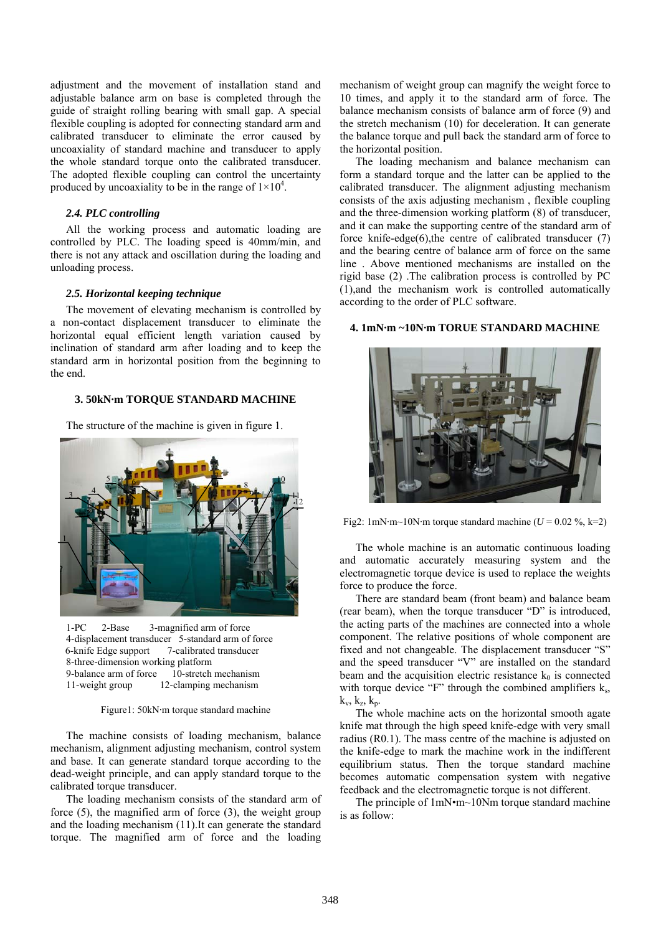adjustment and the movement of installation stand and adjustable balance arm on base is completed through the guide of straight rolling bearing with small gap. A special flexible coupling is adopted for connecting standard arm and calibrated transducer to eliminate the error caused by uncoaxiality of standard machine and transducer to apply the whole standard torque onto the calibrated transducer. The adopted flexible coupling can control the uncertainty produced by uncoaxiality to be in the range of  $1 \times 10^4$ .

### *2.4. PLC controlling*

All the working process and automatic loading are controlled by PLC. The loading speed is 40mm/min, and there is not any attack and oscillation during the loading and unloading process.

#### *2.5. Horizontal keeping technique*

The movement of elevating mechanism is controlled by a non-contact displacement transducer to eliminate the horizontal equal efficient length variation caused by inclination of standard arm after loading and to keep the standard arm in horizontal position from the beginning to the end.

### **3. 50kN·m TORQUE STANDARD MACHINE**

The structure of the machine is given in figure 1.



1-PC 2-Base 3-magnified arm of force 4-displacement transducer 5-standard arm of force 6-knife Edge support 7-calibrated transducer 8-three-dimension working platform 9-balance arm of force 10-stretch mechanism 11-weight group 12-clamping mechanism

Figure1: 50kN·m torque standard machine

The machine consists of loading mechanism, balance mechanism, alignment adjusting mechanism, control system and base. It can generate standard torque according to the dead-weight principle, and can apply standard torque to the calibrated torque transducer.

The loading mechanism consists of the standard arm of force (5), the magnified arm of force (3), the weight group and the loading mechanism (11).It can generate the standard torque. The magnified arm of force and the loading

mechanism of weight group can magnify the weight force to 10 times, and apply it to the standard arm of force. The balance mechanism consists of balance arm of force (9) and the stretch mechanism (10) for deceleration. It can generate the balance torque and pull back the standard arm of force to the horizontal position.

The loading mechanism and balance mechanism can form a standard torque and the latter can be applied to the calibrated transducer. The alignment adjusting mechanism consists of the axis adjusting mechanism , flexible coupling and the three-dimension working platform (8) of transducer, and it can make the supporting centre of the standard arm of force knife-edge(6),the centre of calibrated transducer (7) and the bearing centre of balance arm of force on the same line . Above mentioned mechanisms are installed on the rigid base (2) .The calibration process is controlled by PC (1),and the mechanism work is controlled automatically according to the order of PLC software.

# **4. 1mN·m ~10N·m TORUE STANDARD MACHINE**



Fig2: 1mN·m~10N·m torque standard machine ( $U = 0.02 \%$ , k=2)

The whole machine is an automatic continuous loading and automatic accurately measuring system and the electromagnetic torque device is used to replace the weights force to produce the force.

There are standard beam (front beam) and balance beam (rear beam), when the torque transducer "D" is introduced, the acting parts of the machines are connected into a whole component. The relative positions of whole component are fixed and not changeable. The displacement transducer "S" and the speed transducer "V" are installed on the standard beam and the acquisition electric resistance  $k_0$  is connected with torque device "F" through the combined amplifiers  $k<sub>s</sub>$ ,  $k_v$ ,  $k_z$ ,  $k_p$ .

The whole machine acts on the horizontal smooth agate knife mat through the high speed knife-edge with very small radius (R0.1). The mass centre of the machine is adjusted on the knife-edge to mark the machine work in the indifferent equilibrium status. Then the torque standard machine becomes automatic compensation system with negative feedback and the electromagnetic torque is not different.

The principle of 1mN•m~10Nm torque standard machine is as follow: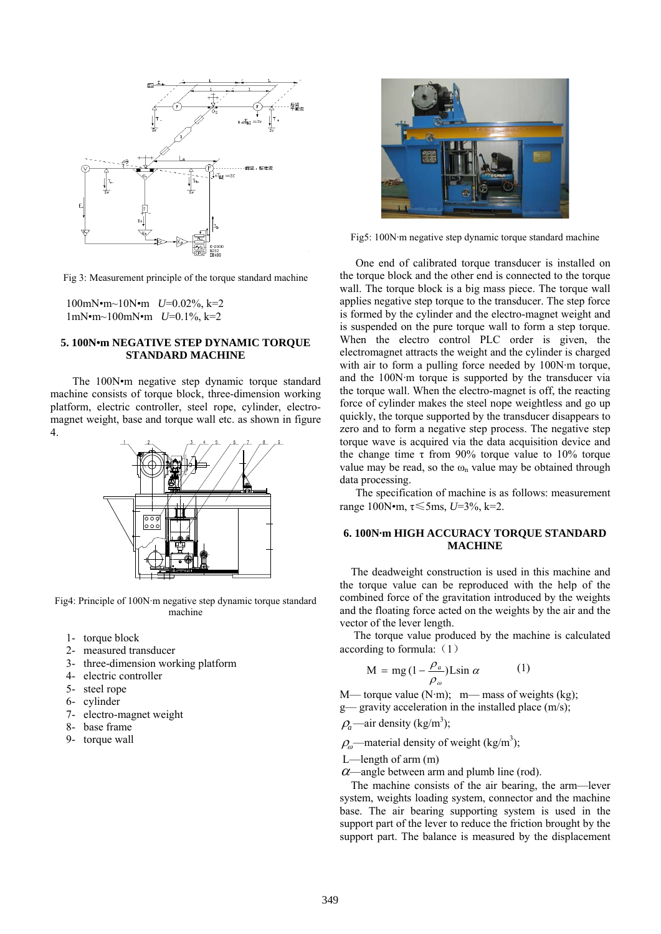

Fig 3: Measurement principle of the torque standard machine

100mN•m~10N•m *U*=0.02%, k=2 1mN•m~100mN•m *U*=0.1%, k=2

# **5. 100N•m NEGATIVE STEP DYNAMIC TORQUE STANDARD MACHINE**

The 100N•m negative step dynamic torque standard machine consists of torque block, three-dimension working platform, electric controller, steel rope, cylinder, electromagnet weight, base and torque wall etc. as shown in figure 4.



Fig4: Principle of 100N·m negative step dynamic torque standard machine

- 1- torque block
- 2- measured transducer
- 3- three-dimension working platform
- 4- electric controller
- 5- steel rope
- 6- cylinder
- 7- electro-magnet weight
- 8- base frame
- 9- torque wall



Fig5: 100N·m negative step dynamic torque standard machine

One end of calibrated torque transducer is installed on the torque block and the other end is connected to the torque wall. The torque block is a big mass piece. The torque wall applies negative step torque to the transducer. The step force is formed by the cylinder and the electro-magnet weight and is suspended on the pure torque wall to form a step torque. When the electro control PLC order is given, the electromagnet attracts the weight and the cylinder is charged with air to form a pulling force needed by 100N·m torque, and the 100N·m torque is supported by the transducer via the torque wall. When the electro-magnet is off, the reacting force of cylinder makes the steel nope weightless and go up quickly, the torque supported by the transducer disappears to zero and to form a negative step process. The negative step torque wave is acquired via the data acquisition device and the change time τ from 90% torque value to 10% torque value may be read, so the  $\omega_n$  value may be obtained through data processing.

The specification of machine is as follows: measurement range 100N•m, τ≤5ms, *U*=3%, k=2.

# **6. 100N·m HIGH ACCURACY TORQUE STANDARD MACHINE**

The deadweight construction is used in this machine and the torque value can be reproduced with the help of the combined force of the gravitation introduced by the weights and the floating force acted on the weights by the air and the vector of the lever length.

 The torque value produced by the machine is calculated according to formula:  $(1)$ 

$$
M = mg (1 - \frac{\rho_a}{\rho_o}) L \sin \alpha \tag{1}
$$

M— torque value  $(N \cdot m)$ ; m— mass of weights (kg);

g— gravity acceleration in the installed place (m/s);

 $\rho_a$ —air density (kg/m<sup>3</sup>);

 $\rho_{\omega}$ —material density of weight (kg/m<sup>3</sup>);

- L—length of arm (m)
- $\alpha$ —angle between arm and plumb line (rod).

The machine consists of the air bearing, the arm—lever system, weights loading system, connector and the machine base. The air bearing supporting system is used in the support part of the lever to reduce the friction brought by the support part. The balance is measured by the displacement